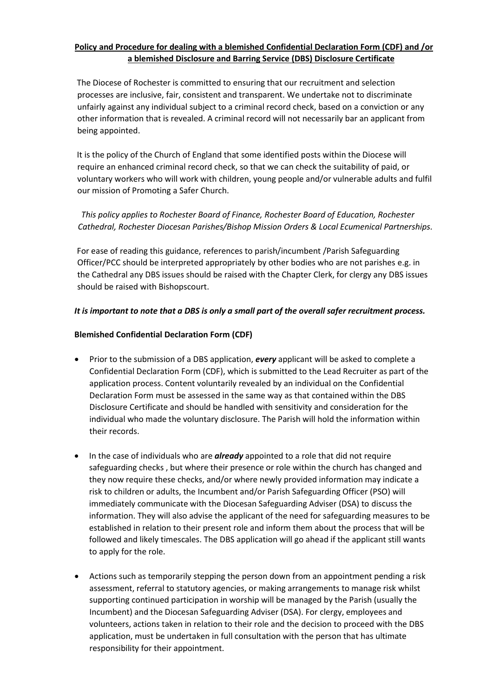# **Policy and Procedure for dealing with a blemished Confidential Declaration Form (CDF) and /or a blemished Disclosure and Barring Service (DBS) Disclosure Certificate**

 The Diocese of Rochester is committed to ensuring that our recruitment and selection processes are inclusive, fair, consistent and transparent. We undertake not to discriminate unfairly against any individual subject to a criminal record check, based on a conviction or any other information that is revealed. A criminal record will not necessarily bar an applicant from being appointed.

 It is the policy of the Church of England that some identified posts within the Diocese will require an enhanced criminal record check, so that we can check the suitability of paid, or voluntary workers who will work with children, young people and/or vulnerable adults and fulfil our mission of Promoting a Safer Church.

*This policy applies to Rochester Board of Finance, Rochester Board of Education, Rochester Cathedral, Rochester Diocesan Parishes/Bishop Mission Orders & Local Ecumenical Partnerships.*

 For ease of reading this guidance, references to parish/incumbent /Parish Safeguarding Officer/PCC should be interpreted appropriately by other bodies who are not parishes e.g. in the Cathedral any DBS issues should be raised with the Chapter Clerk, for clergy any DBS issues should be raised with Bishopscourt.

## *It is important to note that a DBS is only a small part of the overall safer recruitment process.*

## **Blemished Confidential Declaration Form (CDF)**

- Prior to the submission of a DBS application, *every* applicant will be asked to complete a Confidential Declaration Form (CDF), which is submitted to the Lead Recruiter as part of the application process. Content voluntarily revealed by an individual on the Confidential Declaration Form must be assessed in the same way as that contained within the DBS Disclosure Certificate and should be handled with sensitivity and consideration for the individual who made the voluntary disclosure. The Parish will hold the information within their records.
- In the case of individuals who are *already* appointed to a role that did not require safeguarding checks , but where their presence or role within the church has changed and they now require these checks, and/or where newly provided information may indicate a risk to children or adults, the Incumbent and/or Parish Safeguarding Officer (PSO) will immediately communicate with the Diocesan Safeguarding Adviser (DSA) to discuss the information. They will also advise the applicant of the need for safeguarding measures to be established in relation to their present role and inform them about the process that will be followed and likely timescales. The DBS application will go ahead if the applicant still wants to apply for the role.
- Actions such as temporarily stepping the person down from an appointment pending a risk assessment, referral to statutory agencies, or making arrangements to manage risk whilst supporting continued participation in worship will be managed by the Parish (usually the Incumbent) and the Diocesan Safeguarding Adviser (DSA). For clergy, employees and volunteers, actions taken in relation to their role and the decision to proceed with the DBS application, must be undertaken in full consultation with the person that has ultimate responsibility for their appointment.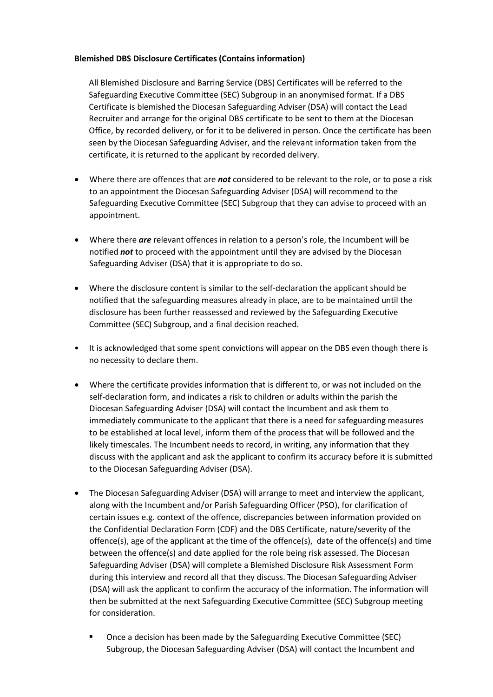## **Blemished DBS Disclosure Certificates (Contains information)**

 All Blemished Disclosure and Barring Service (DBS) Certificates will be referred to the Safeguarding Executive Committee (SEC) Subgroup in an anonymised format. If a DBS Certificate is blemished the Diocesan Safeguarding Adviser (DSA) will contact the Lead Recruiter and arrange for the original DBS certificate to be sent to them at the Diocesan Office, by recorded delivery, or for it to be delivered in person. Once the certificate has been seen by the Diocesan Safeguarding Adviser, and the relevant information taken from the certificate, it is returned to the applicant by recorded delivery.

- Where there are offences that are *not* considered to be relevant to the role, or to pose a risk to an appointment the Diocesan Safeguarding Adviser (DSA) will recommend to the Safeguarding Executive Committee (SEC) Subgroup that they can advise to proceed with an appointment.
- Where there *are* relevant offences in relation to a person's role, the Incumbent will be notified *not* to proceed with the appointment until they are advised by the Diocesan Safeguarding Adviser (DSA) that it is appropriate to do so.
- Where the disclosure content is similar to the self-declaration the applicant should be notified that the safeguarding measures already in place, are to be maintained until the disclosure has been further reassessed and reviewed by the Safeguarding Executive Committee (SEC) Subgroup, and a final decision reached.
- It is acknowledged that some spent convictions will appear on the DBS even though there is no necessity to declare them.
- Where the certificate provides information that is different to, or was not included on the self-declaration form, and indicates a risk to children or adults within the parish the Diocesan Safeguarding Adviser (DSA) will contact the Incumbent and ask them to immediately communicate to the applicant that there is a need for safeguarding measures to be established at local level, inform them of the process that will be followed and the likely timescales. The Incumbent needs to record, in writing, any information that they discuss with the applicant and ask the applicant to confirm its accuracy before it is submitted to the Diocesan Safeguarding Adviser (DSA).
- The Diocesan Safeguarding Adviser (DSA) will arrange to meet and interview the applicant, along with the Incumbent and/or Parish Safeguarding Officer (PSO), for clarification of certain issues e.g. context of the offence, discrepancies between information provided on the Confidential Declaration Form (CDF) and the DBS Certificate, nature/severity of the offence(s), age of the applicant at the time of the offence(s), date of the offence(s) and time between the offence(s) and date applied for the role being risk assessed. The Diocesan Safeguarding Adviser (DSA) will complete a Blemished Disclosure Risk Assessment Form during this interview and record all that they discuss. The Diocesan Safeguarding Adviser (DSA) will ask the applicant to confirm the accuracy of the information. The information will then be submitted at the next Safeguarding Executive Committee (SEC) Subgroup meeting for consideration.
	- Once a decision has been made by the Safeguarding Executive Committee (SEC) Subgroup, the Diocesan Safeguarding Adviser (DSA) will contact the Incumbent and